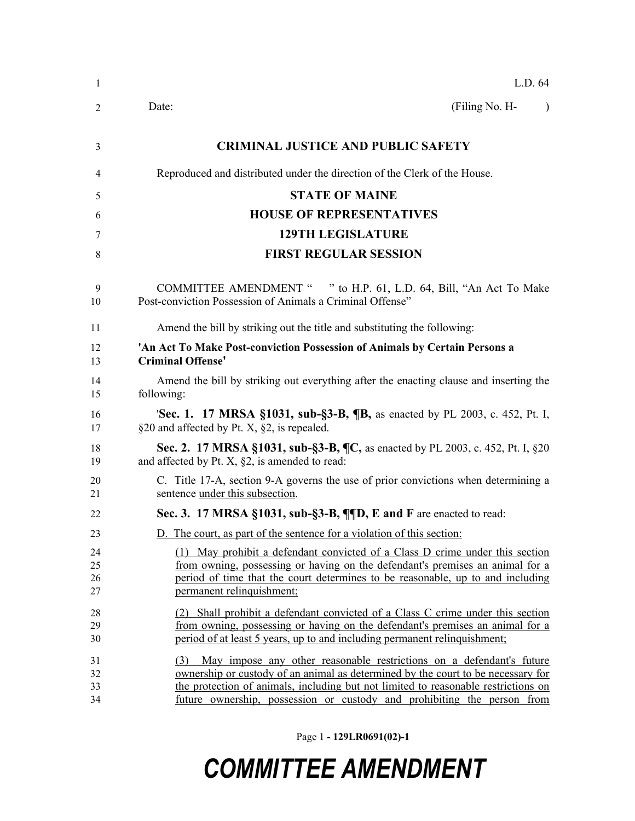| -1                   | L.D. 64                                                                                                                                                                                                                                                                                                                          |
|----------------------|----------------------------------------------------------------------------------------------------------------------------------------------------------------------------------------------------------------------------------------------------------------------------------------------------------------------------------|
| 2                    | (Filing No. H-<br>Date:<br>$\lambda$                                                                                                                                                                                                                                                                                             |
| 3                    | <b>CRIMINAL JUSTICE AND PUBLIC SAFETY</b>                                                                                                                                                                                                                                                                                        |
| 4                    | Reproduced and distributed under the direction of the Clerk of the House.                                                                                                                                                                                                                                                        |
| 5                    | <b>STATE OF MAINE</b>                                                                                                                                                                                                                                                                                                            |
| 6                    | <b>HOUSE OF REPRESENTATIVES</b>                                                                                                                                                                                                                                                                                                  |
| 7                    | <b>129TH LEGISLATURE</b>                                                                                                                                                                                                                                                                                                         |
| 8                    | <b>FIRST REGULAR SESSION</b>                                                                                                                                                                                                                                                                                                     |
| 9<br>10              | COMMITTEE AMENDMENT " " to H.P. 61, L.D. 64, Bill, "An Act To Make<br>Post-conviction Possession of Animals a Criminal Offense"                                                                                                                                                                                                  |
| 11                   | Amend the bill by striking out the title and substituting the following:                                                                                                                                                                                                                                                         |
| 12<br>13             | 'An Act To Make Post-conviction Possession of Animals by Certain Persons a<br><b>Criminal Offense'</b>                                                                                                                                                                                                                           |
| 14<br>15             | Amend the bill by striking out everything after the enacting clause and inserting the<br>following:                                                                                                                                                                                                                              |
| 16<br>17             | 'Sec. 1. 17 MRSA §1031, sub-§3-B, ¶B, as enacted by PL 2003, c. 452, Pt. I,<br>§20 and affected by Pt. X, §2, is repealed.                                                                                                                                                                                                       |
| 18<br>19             | Sec. 2. 17 MRSA §1031, sub-§3-B, ¶C, as enacted by PL 2003, c. 452, Pt. I, §20<br>and affected by Pt. X, $\S2$ , is amended to read:                                                                                                                                                                                             |
| 20<br>21             | C. Title 17-A, section 9-A governs the use of prior convictions when determining a<br>sentence under this subsection.                                                                                                                                                                                                            |
| 22                   | Sec. 3. 17 MRSA §1031, sub-§3-B, ¶¶D, E and F are enacted to read:                                                                                                                                                                                                                                                               |
| 23                   | D. The court, as part of the sentence for a violation of this section:                                                                                                                                                                                                                                                           |
| 24<br>25<br>26       | (1) May prohibit a defendant convicted of a Class D crime under this section<br>from owning, possessing or having on the defendant's premises an animal for a<br>period of time that the court determines to be reasonable, up to and including                                                                                  |
| 27                   | permanent relinquishment;                                                                                                                                                                                                                                                                                                        |
| 28<br>29<br>30       | (2) Shall prohibit a defendant convicted of a Class C crime under this section<br>from owning, possessing or having on the defendant's premises an animal for a<br>period of at least 5 years, up to and including permanent relinquishment;                                                                                     |
| 31<br>32<br>33<br>34 | May impose any other reasonable restrictions on a defendant's future<br>(3)<br>ownership or custody of an animal as determined by the court to be necessary for<br>the protection of animals, including but not limited to reasonable restrictions on<br>future ownership, possession or custody and prohibiting the person from |

Page 1 **- 129LR0691(02)-1**

## *COMMITTEE AMENDMENT*